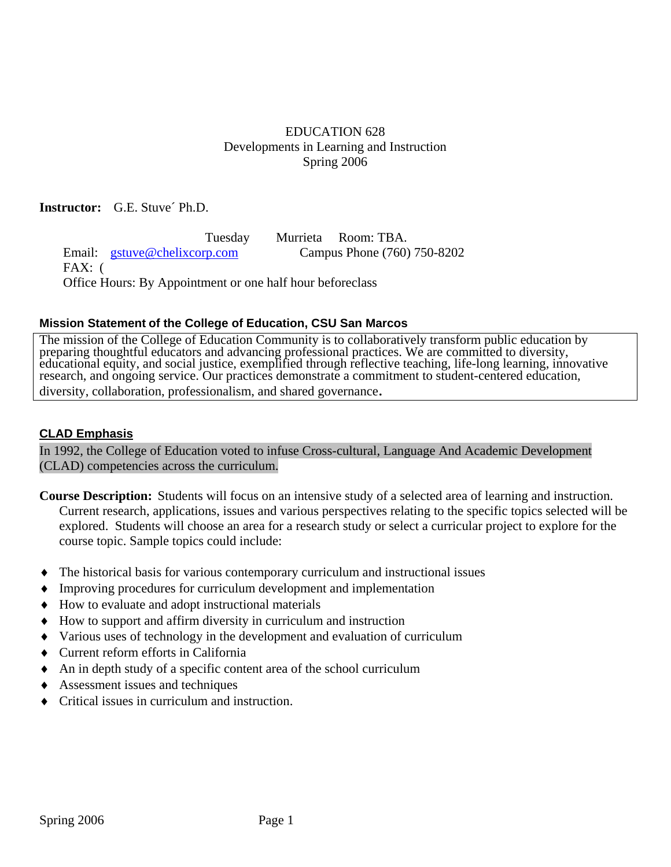# EDUCATION 628 Developments in Learning and Instruction Spring 2006

#### **Instructor:** G.E. Stuve´ Ph.D.

 Tuesday Murrieta Room: TBA. Email: gstuve@chelixcorp.com Campus Phone (760) 750-8202 FAX: ( Office Hours: By Appointment or one half hour beforeclass

#### **Mission Statement of the College of Education, CSU San Marcos**

The mission of the College of Education Community is to collaboratively transform public education by preparing thoughtful educators and advancing professional practices. We are committed to diversity, educational equity, and social justice, exemplified through reflective teaching, life-long learning, innovative research, and ongoing service. Our practices demonstrate a commitment to student-centered education, diversity, collaboration, professionalism, and shared governance.

#### **CLAD Emphasis**

In 1992, the College of Education voted to infuse Cross-cultural, Language And Academic Development (CLAD) competencies across the curriculum.

**Course Description:** Students will focus on an intensive study of a selected area of learning and instruction. Current research, applications, issues and various perspectives relating to the specific topics selected will be explored. Students will choose an area for a research study or select a curricular project to explore for the course topic. Sample topics could include:

- The historical basis for various contemporary curriculum and instructional issues
- Improving procedures for curriculum development and implementation
- ♦ How to evaluate and adopt instructional materials
- ♦ How to support and affirm diversity in curriculum and instruction
- ♦ Various uses of technology in the development and evaluation of curriculum
- ♦ Current reform efforts in California
- ♦ An in depth study of a specific content area of the school curriculum
- Assessment issues and techniques
- Critical issues in curriculum and instruction.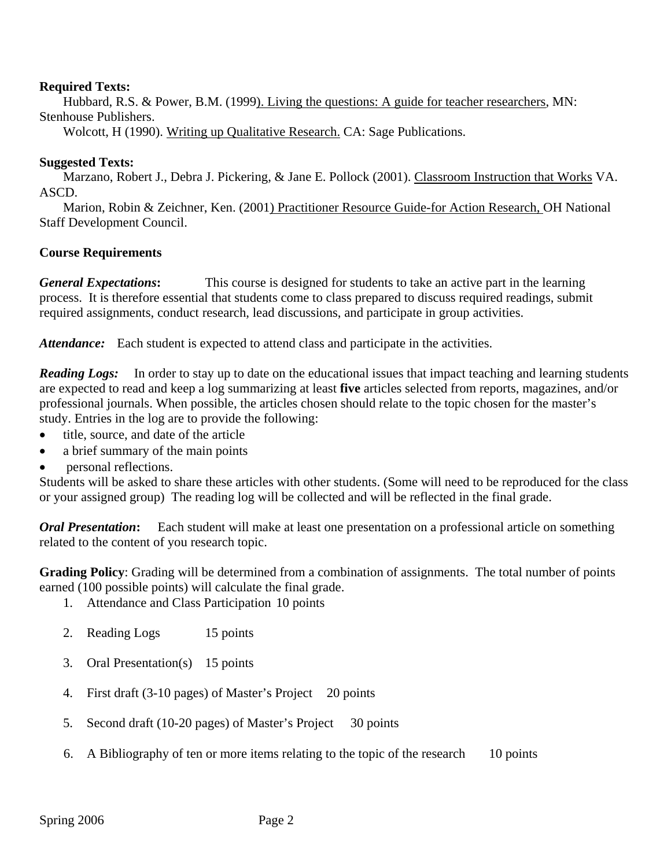#### **Required Texts:**

Hubbard, R.S. & Power, B.M. (1999). Living the questions: A guide for teacher researchers, MN: Stenhouse Publishers.

Wolcott, H (1990). Writing up Qualitative Research. CA: Sage Publications.

#### **Suggested Texts:**

Marzano, Robert J., Debra J. Pickering, & Jane E. Pollock (2001). Classroom Instruction that Works VA. ASCD.

Marion, Robin & Zeichner, Ken. (2001) Practitioner Resource Guide-for Action Research, OH National Staff Development Council.

#### **Course Requirements**

*General Expectations***:** This course is designed for students to take an active part in the learning process. It is therefore essential that students come to class prepared to discuss required readings, submit required assignments, conduct research, lead discussions, and participate in group activities.

Attendance: Each student is expected to attend class and participate in the activities.

*Reading Logs:* In order to stay up to date on the educational issues that impact teaching and learning students are expected to read and keep a log summarizing at least **five** articles selected from reports, magazines, and/or professional journals. When possible, the articles chosen should relate to the topic chosen for the master's study. Entries in the log are to provide the following:

- title, source, and date of the article
- a brief summary of the main points
- personal reflections.

Students will be asked to share these articles with other students. (Some will need to be reproduced for the class or your assigned group) The reading log will be collected and will be reflected in the final grade.

*Oral Presentation***:** Each student will make at least one presentation on a professional article on something related to the content of you research topic.

**Grading Policy**: Grading will be determined from a combination of assignments. The total number of points earned (100 possible points) will calculate the final grade.

- 1. Attendance and Class Participation 10 points
- 2. Reading Logs 15 points
- 3. Oral Presentation(s) 15 points
- 4. First draft (3-10 pages) of Master's Project 20 points
- 5. Second draft (10-20 pages) of Master's Project 30 points
- 6. A Bibliography of ten or more items relating to the topic of the research 10 points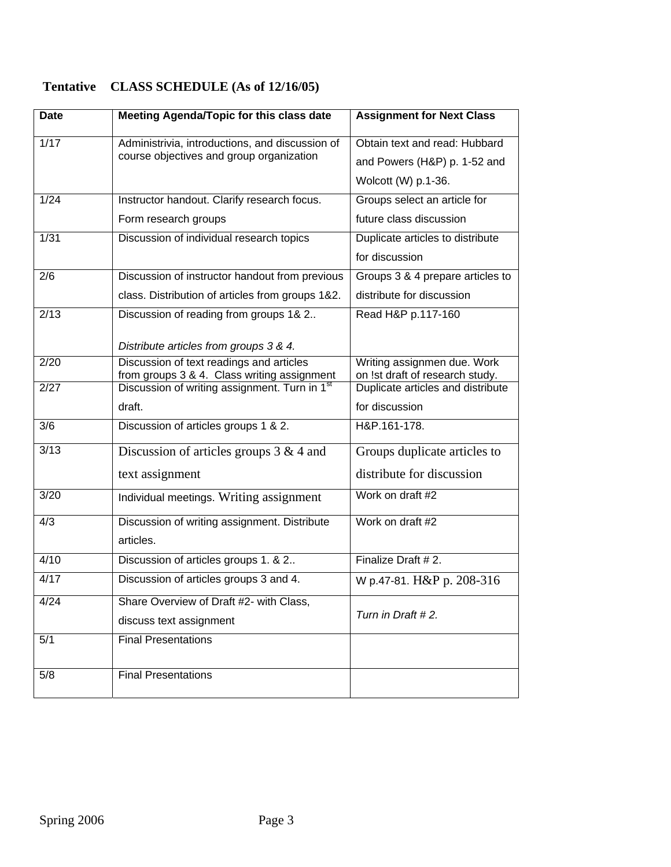# **Tentative CLASS SCHEDULE (As of 12/16/05)**

| <b>Date</b> | Meeting Agenda/Topic for this class date                                                    | <b>Assignment for Next Class</b>                               |
|-------------|---------------------------------------------------------------------------------------------|----------------------------------------------------------------|
| 1/17        | Administrivia, introductions, and discussion of<br>course objectives and group organization | Obtain text and read: Hubbard                                  |
|             |                                                                                             | and Powers (H&P) p. 1-52 and                                   |
|             |                                                                                             | Wolcott (W) p.1-36.                                            |
| 1/24        | Instructor handout. Clarify research focus.                                                 | Groups select an article for                                   |
|             | Form research groups                                                                        | future class discussion                                        |
| 1/31        | Discussion of individual research topics                                                    | Duplicate articles to distribute                               |
|             |                                                                                             | for discussion                                                 |
| 2/6         | Discussion of instructor handout from previous                                              | Groups 3 & 4 prepare articles to                               |
|             | class. Distribution of articles from groups 1&2.                                            | distribute for discussion                                      |
| 2/13        | Discussion of reading from groups 1& 2                                                      | Read H&P p.117-160                                             |
|             |                                                                                             |                                                                |
|             | Distribute articles from groups 3 & 4.                                                      |                                                                |
| 2/20        | Discussion of text readings and articles<br>from groups 3 & 4. Class writing assignment     | Writing assignmen due. Work<br>on !st draft of research study. |
| 2/27        | Discussion of writing assignment. Turn in 1 <sup>st</sup>                                   | Duplicate articles and distribute                              |
|             | draft.                                                                                      | for discussion                                                 |
| 3/6         | Discussion of articles groups 1 & 2.                                                        | H&P.161-178.                                                   |
| 3/13        | Discussion of articles groups $3 & 4$ and                                                   | Groups duplicate articles to                                   |
|             | text assignment                                                                             | distribute for discussion                                      |
| 3/20        | Individual meetings. Writing assignment                                                     | Work on draft #2                                               |
| 4/3         | Discussion of writing assignment. Distribute                                                | Work on draft #2                                               |
|             | articles.                                                                                   |                                                                |
| 4/10        | Discussion of articles groups 1. & 2                                                        | Finalize Draft #2.                                             |
| 4/17        | Discussion of articles groups 3 and 4.                                                      | W p.47-81. H&P p. 208-316                                      |
| 4/24        | Share Overview of Draft #2- with Class,                                                     |                                                                |
|             | discuss text assignment                                                                     | Turn in Draft #2.                                              |
| 5/1         | <b>Final Presentations</b>                                                                  |                                                                |
| 5/8         | <b>Final Presentations</b>                                                                  |                                                                |